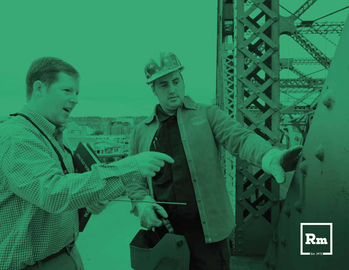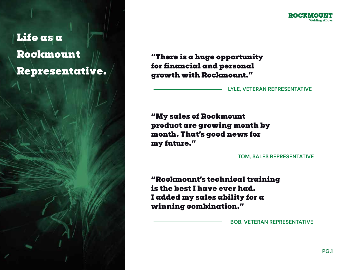# **Life as a Rockmount Representative.**



**"There is a huge opportunity for financial and personal growth with Rockmount."**

## **LYLE, VETERAN REPRESENTATIVE**

**"My sales of Rockmount product are growing month by month. That's good news for my future."**

**TOM, SALES REPRESENTATIVE**

**"Rockmount's technical training is the best I have ever had. I added my sales ability for a winning combination."**

**BOB, VETERAN REPRESENTATIVE**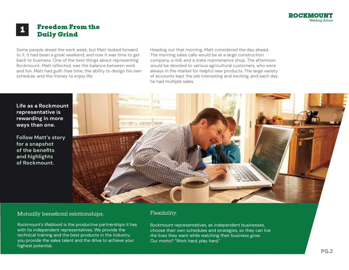

## **Freedom From the Daily Grind <sup>1</sup>**

Some people dread the work week, but Matt looked forward to it. It had been a great weekend, and now it was time to get back to business. One of the best things about representing Rockmount, Matt reflected, was the balance between work and fun. Matt had guilt-free time, the ability to design his own schedule, and the money to enjoy life.

Heading out that morning, Matt considered the day ahead. The morning sales calls would be at a large construction company, a mill, and a state maintenance shop. The afternoon would be devoted to various agricultural customers, who were always in the market for helpful new products. The large variety of accounts kept the job interesting and exciting, and each day he had multiple sales.

**Life as a Rockmount representative is rewarding in more ways than one.**

**Follow Matt's story for a snapshot of the benefits and highlights of Rockmount.**



#### Mutually beneficial relationships.

Rockmount's lifeblood is the productive partnerships it has with its independent representatives. We provide the technical training and the best products in the industry; you provide the sales talent and the drive to achieve your highest potential.

## Flexibility.

Rockmount representatives, as independent businesses, choose their own schedules and strategies, so they can live the lives they want while watching their business grow. Our motto? "Work hard, play hard."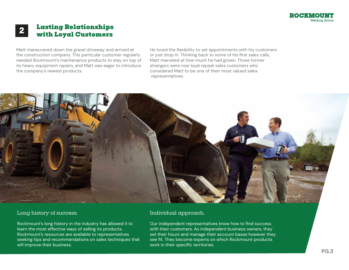

# **Lasting Relationships with Loyal Customers 2**

Matt maneuvered down the gravel driveway and arrived at the construction company. This particular customer regularly needed Rockmount's maintenance products to stay on top of its heavy equipment repairs, and Matt was eager to introduce the company's newest products.

He loved the flexibility to set appointments with his customers or just drop in. Thinking back to some of his first sales calls, Matt marveled at how much he had grown. Those former strangers were now loyal repeat sales customers who considered Matt to be one of their most valued sales representatives.



## Long history of success.

Rockmount's long history in the industry has allowed it to learn the most effective ways of selling its products. Rockmount's resources are available to representatives seeking tips and recommendations on sales techniques that will improve their business.

## Individual approach.

Our independent representatives know how to find success with their customers. As independent business owners, they set their hours and manage their account bases however they see fit. They become experts on which Rockmount products work in their specific territories.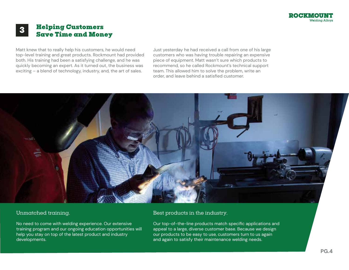

# **Helping Customers Save Time and Money 3**

Matt knew that to really help his customers, he would need top-level training and great products. Rockmount had provided both. His training had been a satisfying challenge, and he was quickly becoming an expert. As it turned out, the business was exciting – a blend of technology, industry, and, the art of sales.

Just yesterday he had received a call from one of his large customers who was having trouble repairing an expensive piece of equipment. Matt wasn't sure which products to recommend, so he called Rockmount's technical support team. This allowed him to solve the problem, write an order, and leave behind a satisfied customer.



## Unmatched training.

No need to come with welding experience. Our extensive training program and our ongoing education opportunities will help you stay on top of the latest product and industry developments.

#### Best products in the industry.

Our top-of-the-line products match specific applications and appeal to a large, diverse customer base. Because we design our products to be easy to use, customers turn to us again and again to satisfy their maintenance welding needs.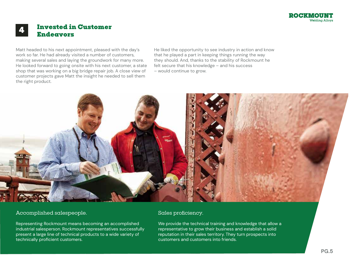

## **Invested in Customer Endeavors**

Matt headed to his next appointment, pleased with the day's work so far. He had already visited a number of customers, making several sales and laying the groundwork for many more. He looked forward to going onsite with his next customer, a state shop that was working on a big bridge repair job. A close view of customer projects gave Matt the insight he needed to sell them the right product.

He liked the opportunity to see industry in action and know that he played a part in keeping things running the way they should. And, thanks to the stability of Rockmount he felt secure that his knowledge – and his success – would continue to grow.



## Accomplished salespeople.

Representing Rockmount means becoming an accomplished industrial salesperson. Rockmount representatives successfully present a large line of technical products to a wide variety of technically proficient customers.

#### Sales proficiency.

We provide the technical training and knowledge that allow a representative to grow their business and establish a solid reputation in their sales territory. They turn prospects into customers and customers into friends.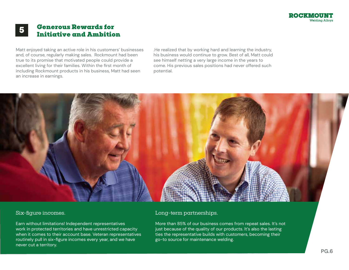

# **Generous Rewards for Initiative and Ambition 5**

Matt enjoyed taking an active role in his customers' businesses and, of course, regularly making sales. Rockmount had been true to its promise that motivated people could provide a excellent living for their families. Within the first month of including Rockmount products in his business, Matt had seen an increase in earnings.

.He realized that by working hard and learning the industry, his business would continue to grow. Best of all, Matt could see himself netting a very large income in the years to come. His previous sales positions had never offered such potential.



#### Six-figure incomes.

Earn without limitations! Independent representatives work in protected territories and have unrestricted capacity when it comes to their account base. Veteran representatives routinely pull in six-figure incomes every year, and we have never cut a territory.

#### Long-term partnerships.

More than 85% of our business comes from repeat sales. It's not just because of the quality of our products. It's also the lasting ties the representative builds with customers, becoming their go-to source for maintenance welding.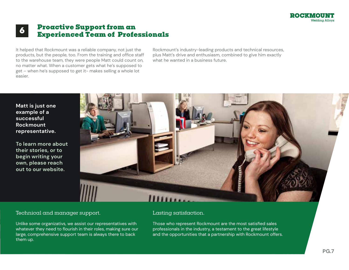

# **Proactive Support from an Experienced Team of Professionals 6**

It helped that Rockmount was a reliable company, not just the products, but the people, too. From the training and office staff to the warehouse team, they were people Matt could count on, no matter what. When a customer gets what he's supposed to get – when he's supposed to get it- makes selling a whole lot easier.

Rockmount's industry-leading products and technical resources, plus Matt's drive and enthusiasm, combined to give him exactly what he wanted in a business future.

**Matt is just one example of a successful Rockmount representative.**

**To learn more about their stories, or to begin writing your own, please reach out to our website.**



## Technical and manager support.

Unlike some organizativs, we assist our representatives with whatever they need to flourish in their roles, making sure our large, comprehensive support team is always there to back them up.

#### Lasting satisfaction.

Those who represent Rockmount are the most satisfied sales professionals in the industry, a testament to the great lifestyle and the opportunities that a partnership with Rockmount offers.